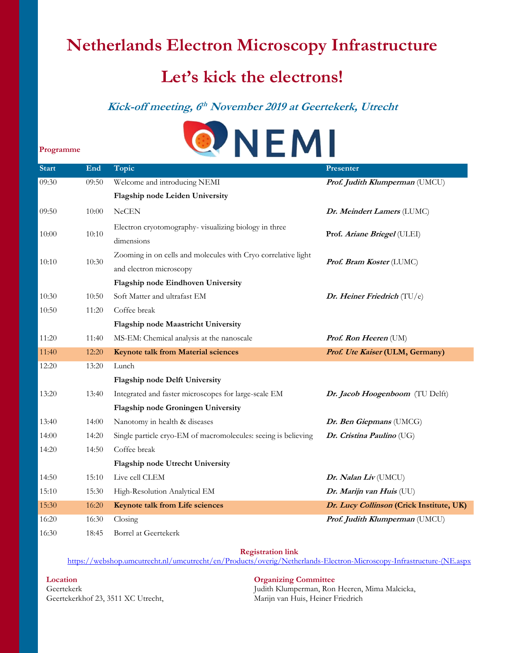## **Netherlands Electron Microscopy Infrastructure**

# **Let's kick the electrons!**

### **Kick-off meeting, 6 th November 2019 at Geertekerk, Utrecht**



| <b>Start</b> | End   | Topic                                                          | Presenter                                |
|--------------|-------|----------------------------------------------------------------|------------------------------------------|
| 09:30        | 09:50 | Welcome and introducing NEMI                                   | Prof. Judith Klumperman (UMCU)           |
|              |       | Flagship node Leiden University                                |                                          |
| 09:50        | 10:00 | <b>NeCEN</b>                                                   | Dr. Meindert Lamers (LUMC)               |
| 10:00        | 10:10 | Electron cryotomography-visualizing biology in three           | Prof. Ariane Briegel (ULEI)              |
|              |       | dimensions                                                     |                                          |
| 10:10        | 10:30 | Zooming in on cells and molecules with Cryo correlative light  | Prof. Bram Koster (LUMC)                 |
|              |       | and electron microscopy                                        |                                          |
|              |       | Flagship node Eindhoven University                             |                                          |
| 10:30        | 10:50 | Soft Matter and ultrafast EM                                   | Dr. Heiner Friedrich (TU/e)              |
| 10:50        | 11:20 | Coffee break                                                   |                                          |
|              |       | Flagship node Maastricht University                            |                                          |
| 11:20        | 11:40 | MS-EM: Chemical analysis at the nanoscale                      | Prof. Ron Heeren (UM)                    |
| 11:40        | 12:20 | <b>Keynote talk from Material sciences</b>                     | Prof. Ute Kaiser (ULM, Germany)          |
| 12:20        | 13:20 | Lunch                                                          |                                          |
|              |       | Flagship node Delft University                                 |                                          |
| 13:20        | 13:40 | Integrated and faster microscopes for large-scale EM           | Dr. Jacob Hoogenboom (TU Delft)          |
|              |       | Flagship node Groningen University                             |                                          |
| 13:40        | 14:00 | Nanotomy in health & diseases                                  | Dr. Ben Giepmans (UMCG)                  |
| 14:00        | 14:20 | Single particle cryo-EM of macromolecules: seeing is believing | Dr. Cristina Paulino (UG)                |
| 14:20        | 14:50 | Coffee break                                                   |                                          |
|              |       | Flagship node Utrecht University                               |                                          |
| 14:50        | 15:10 | Live cell CLEM                                                 | Dr. Nalan Liv (UMCU)                     |
| 15:10        | 15:30 | High-Resolution Analytical EM                                  | Dr. Marijn van Huis (UU)                 |
| 15:30        | 16:20 | Keynote talk from Life sciences                                | Dr. Lucy Collinson (Crick Institute, UK) |
| 16:20        | 16:30 | Closing                                                        | Prof. Judith Klumperman (UMCU)           |
|              |       | Borrel at Geertekerk                                           |                                          |

**Registration link** 

[https://webshop.umcutrecht.nl/umcutrecht/en/Products/overig/Netherlands-Electron-Microscopy-Infrastructure-\(NE.aspx](https://webshop.umcutrecht.nl/umcutrecht/en/Products/overig/Netherlands-Electron-Microscopy-Infrastructure-(NE.aspx)

**Location Organizing Committee** Geertekerkhof 23, 3511 XC Utrecht, Marijn van Huis, Heiner Friedrich

 **Programme**

Geertekerk Judith Klumperman, Ron Heeren, Mima Malcicka,